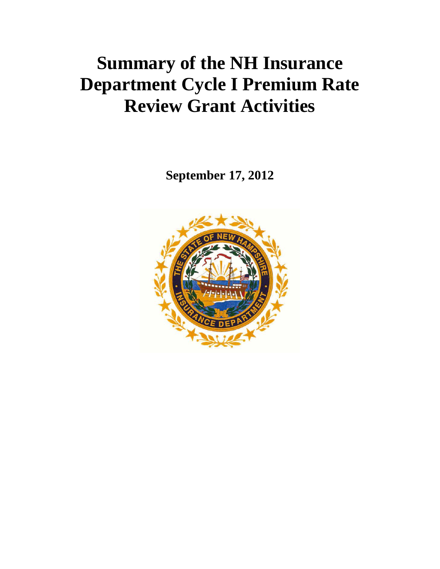## **Summary of the NH Insurance Department Cycle I Premium Rate Review Grant Activities**

**September 17, 2012**

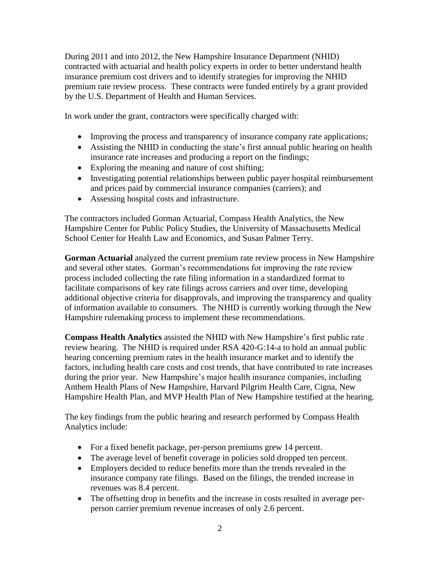During 2011 and into 2012, the New Hampshire Insurance Department (NHID) contracted with actuarial and health policy experts in order to better understand health insurance premium cost drivers and to identify strategies for improving the NHID premium rate review process. These contracts were funded entirely by a grant provided by the U.S. Department of Health and Human Services.

In work under the grant, contractors were specifically charged with:

- Improving the process and transparency of insurance company rate applications;
- Assisting the NHID in conducting the state's first annual public hearing on health insurance rate increases and producing a report on the findings;
- Exploring the meaning and nature of cost shifting;
- Investigating potential relationships between public payer hospital reimbursement and prices paid by commercial insurance companies (carriers); and
- Assessing hospital costs and infrastructure.

The contractors included Gorman Actuarial, Compass Health Analytics, the New Hampshire Center for Public Policy Studies, the University of Massachusetts Medical School Center for Health Law and Economics, and Susan Palmer Terry.

**Gorman Actuarial** analyzed the current premium rate review process in New Hampshire and several other states. Gorman's recommendations for improving the rate review process included collecting the rate filing information in a standardized format to facilitate comparisons of key rate filings across carriers and over time, developing additional objective criteria for disapprovals, and improving the transparency and quality of information available to consumers. The NHID is currently working through the New Hampshire rulemaking process to implement these recommendations.

**Compass Health Analytics** assisted the NHID with New Hampshire's first public rate review hearing. The NHID is required under RSA 420-G:14-a to hold an annual public hearing concerning premium rates in the health insurance market and to identify the factors, including health care costs and cost trends, that have contributed to rate increases during the prior year. New Hampshire's major health insurance companies, including Anthem Health Plans of New Hampshire, Harvard Pilgrim Health Care, Cigna, New Hampshire Health Plan, and MVP Health Plan of New Hampshire testified at the hearing.

The key findings from the public hearing and research performed by Compass Health Analytics include:

- For a fixed benefit package, per-person premiums grew 14 percent.
- The average level of benefit coverage in policies sold dropped ten percent.
- Employers decided to reduce benefits more than the trends revealed in the insurance company rate filings. Based on the filings, the trended increase in revenues was 8.4 percent.
- The offsetting drop in benefits and the increase in costs resulted in average perperson carrier premium revenue increases of only 2.6 percent.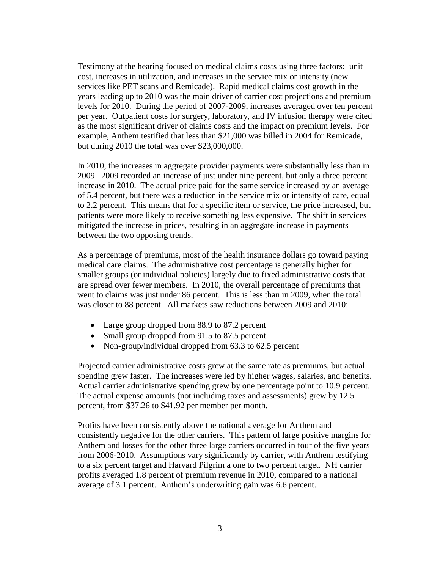Testimony at the hearing focused on medical claims costs using three factors: unit cost, increases in utilization, and increases in the service mix or intensity (new services like PET scans and Remicade). Rapid medical claims cost growth in the years leading up to 2010 was the main driver of carrier cost projections and premium levels for 2010. During the period of 2007-2009, increases averaged over ten percent per year. Outpatient costs for surgery, laboratory, and IV infusion therapy were cited as the most significant driver of claims costs and the impact on premium levels. For example, Anthem testified that less than \$21,000 was billed in 2004 for Remicade, but during 2010 the total was over \$23,000,000.

In 2010, the increases in aggregate provider payments were substantially less than in 2009. 2009 recorded an increase of just under nine percent, but only a three percent increase in 2010. The actual price paid for the same service increased by an average of 5.4 percent, but there was a reduction in the service mix or intensity of care, equal to 2.2 percent. This means that for a specific item or service, the price increased, but patients were more likely to receive something less expensive. The shift in services mitigated the increase in prices, resulting in an aggregate increase in payments between the two opposing trends.

As a percentage of premiums, most of the health insurance dollars go toward paying medical care claims. The administrative cost percentage is generally higher for smaller groups (or individual policies) largely due to fixed administrative costs that are spread over fewer members. In 2010, the overall percentage of premiums that went to claims was just under 86 percent. This is less than in 2009, when the total was closer to 88 percent. All markets saw reductions between 2009 and 2010:

- Large group dropped from 88.9 to 87.2 percent
- Small group dropped from 91.5 to 87.5 percent
- Non-group/individual dropped from 63.3 to 62.5 percent

Projected carrier administrative costs grew at the same rate as premiums, but actual spending grew faster. The increases were led by higher wages, salaries, and benefits. Actual carrier administrative spending grew by one percentage point to 10.9 percent. The actual expense amounts (not including taxes and assessments) grew by 12.5 percent, from \$37.26 to \$41.92 per member per month.

Profits have been consistently above the national average for Anthem and consistently negative for the other carriers. This pattern of large positive margins for Anthem and losses for the other three large carriers occurred in four of the five years from 2006-2010. Assumptions vary significantly by carrier, with Anthem testifying to a six percent target and Harvard Pilgrim a one to two percent target. NH carrier profits averaged 1.8 percent of premium revenue in 2010, compared to a national average of 3.1 percent. Anthem's underwriting gain was 6.6 percent.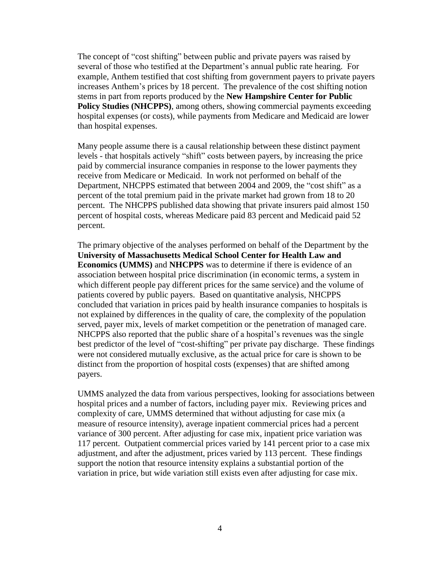The concept of "cost shifting" between public and private payers was raised by several of those who testified at the Department's annual public rate hearing. For example, Anthem testified that cost shifting from government payers to private payers increases Anthem's prices by 18 percent. The prevalence of the cost shifting notion stems in part from reports produced by the **New Hampshire Center for Public Policy Studies (NHCPPS)**, among others, showing commercial payments exceeding hospital expenses (or costs), while payments from Medicare and Medicaid are lower than hospital expenses.

Many people assume there is a causal relationship between these distinct payment levels - that hospitals actively "shift" costs between payers, by increasing the price paid by commercial insurance companies in response to the lower payments they receive from Medicare or Medicaid. In work not performed on behalf of the Department, NHCPPS estimated that between 2004 and 2009, the "cost shift" as a percent of the total premium paid in the private market had grown from 18 to 20 percent. The NHCPPS published data showing that private insurers paid almost 150 percent of hospital costs, whereas Medicare paid 83 percent and Medicaid paid 52 percent.

The primary objective of the analyses performed on behalf of the Department by the **University of Massachusetts Medical School Center for Health Law and Economics (UMMS)** and **NHCPPS** was to determine if there is evidence of an association between hospital price discrimination (in economic terms, a system in which different people pay different prices for the same service) and the volume of patients covered by public payers. Based on quantitative analysis, NHCPPS concluded that variation in prices paid by health insurance companies to hospitals is not explained by differences in the quality of care, the complexity of the population served, payer mix, levels of market competition or the penetration of managed care. NHCPPS also reported that the public share of a hospital's revenues was the single best predictor of the level of "cost-shifting" per private pay discharge. These findings were not considered mutually exclusive, as the actual price for care is shown to be distinct from the proportion of hospital costs (expenses) that are shifted among payers.

UMMS analyzed the data from various perspectives, looking for associations between hospital prices and a number of factors, including payer mix. Reviewing prices and complexity of care, UMMS determined that without adjusting for case mix (a measure of resource intensity), average inpatient commercial prices had a percent variance of 300 percent. After adjusting for case mix, inpatient price variation was 117 percent. Outpatient commercial prices varied by 141 percent prior to a case mix adjustment, and after the adjustment, prices varied by 113 percent. These findings support the notion that resource intensity explains a substantial portion of the variation in price, but wide variation still exists even after adjusting for case mix.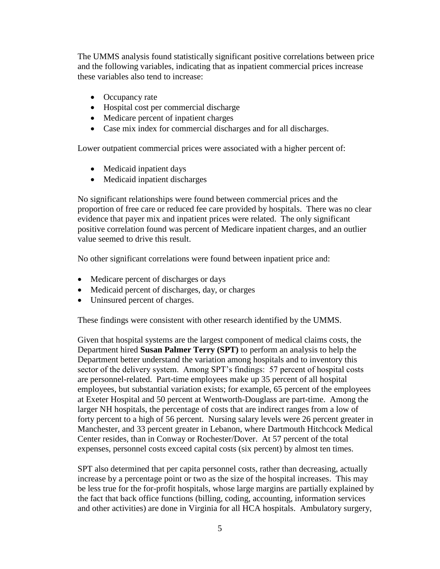The UMMS analysis found statistically significant positive correlations between price and the following variables, indicating that as inpatient commercial prices increase these variables also tend to increase:

- Occupancy rate
- Hospital cost per commercial discharge
- Medicare percent of inpatient charges
- Case mix index for commercial discharges and for all discharges.

Lower outpatient commercial prices were associated with a higher percent of:

- Medicaid inpatient days
- Medicaid inpatient discharges

No significant relationships were found between commercial prices and the proportion of free care or reduced fee care provided by hospitals. There was no clear evidence that payer mix and inpatient prices were related. The only significant positive correlation found was percent of Medicare inpatient charges, and an outlier value seemed to drive this result.

No other significant correlations were found between inpatient price and:

- Medicare percent of discharges or days
- Medicaid percent of discharges, day, or charges
- Uninsured percent of charges.

These findings were consistent with other research identified by the UMMS.

Given that hospital systems are the largest component of medical claims costs, the Department hired **Susan Palmer Terry (SPT)** to perform an analysis to help the Department better understand the variation among hospitals and to inventory this sector of the delivery system. Among SPT's findings: 57 percent of hospital costs are personnel-related. Part-time employees make up 35 percent of all hospital employees, but substantial variation exists; for example, 65 percent of the employees at Exeter Hospital and 50 percent at Wentworth-Douglass are part-time. Among the larger NH hospitals, the percentage of costs that are indirect ranges from a low of forty percent to a high of 56 percent. Nursing salary levels were 26 percent greater in Manchester, and 33 percent greater in Lebanon, where Dartmouth Hitchcock Medical Center resides, than in Conway or Rochester/Dover. At 57 percent of the total expenses, personnel costs exceed capital costs (six percent) by almost ten times.

SPT also determined that per capita personnel costs, rather than decreasing, actually increase by a percentage point or two as the size of the hospital increases. This may be less true for the for-profit hospitals, whose large margins are partially explained by the fact that back office functions (billing, coding, accounting, information services and other activities) are done in Virginia for all HCA hospitals. Ambulatory surgery,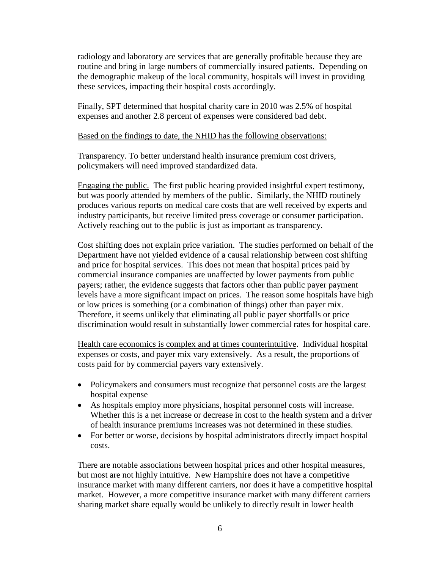radiology and laboratory are services that are generally profitable because they are routine and bring in large numbers of commercially insured patients. Depending on the demographic makeup of the local community, hospitals will invest in providing these services, impacting their hospital costs accordingly.

Finally, SPT determined that hospital charity care in 2010 was 2.5% of hospital expenses and another 2.8 percent of expenses were considered bad debt.

## Based on the findings to date, the NHID has the following observations:

Transparency. To better understand health insurance premium cost drivers, policymakers will need improved standardized data.

Engaging the public. The first public hearing provided insightful expert testimony, but was poorly attended by members of the public. Similarly, the NHID routinely produces various reports on medical care costs that are well received by experts and industry participants, but receive limited press coverage or consumer participation. Actively reaching out to the public is just as important as transparency.

Cost shifting does not explain price variation. The studies performed on behalf of the Department have not yielded evidence of a causal relationship between cost shifting and price for hospital services. This does not mean that hospital prices paid by commercial insurance companies are unaffected by lower payments from public payers; rather, the evidence suggests that factors other than public payer payment levels have a more significant impact on prices. The reason some hospitals have high or low prices is something (or a combination of things) other than payer mix. Therefore, it seems unlikely that eliminating all public payer shortfalls or price discrimination would result in substantially lower commercial rates for hospital care.

Health care economics is complex and at times counterintuitive. Individual hospital expenses or costs, and payer mix vary extensively. As a result, the proportions of costs paid for by commercial payers vary extensively.

- Policymakers and consumers must recognize that personnel costs are the largest hospital expense
- As hospitals employ more physicians, hospital personnel costs will increase. Whether this is a net increase or decrease in cost to the health system and a driver of health insurance premiums increases was not determined in these studies.
- For better or worse, decisions by hospital administrators directly impact hospital costs.

There are notable associations between hospital prices and other hospital measures, but most are not highly intuitive. New Hampshire does not have a competitive insurance market with many different carriers, nor does it have a competitive hospital market. However, a more competitive insurance market with many different carriers sharing market share equally would be unlikely to directly result in lower health